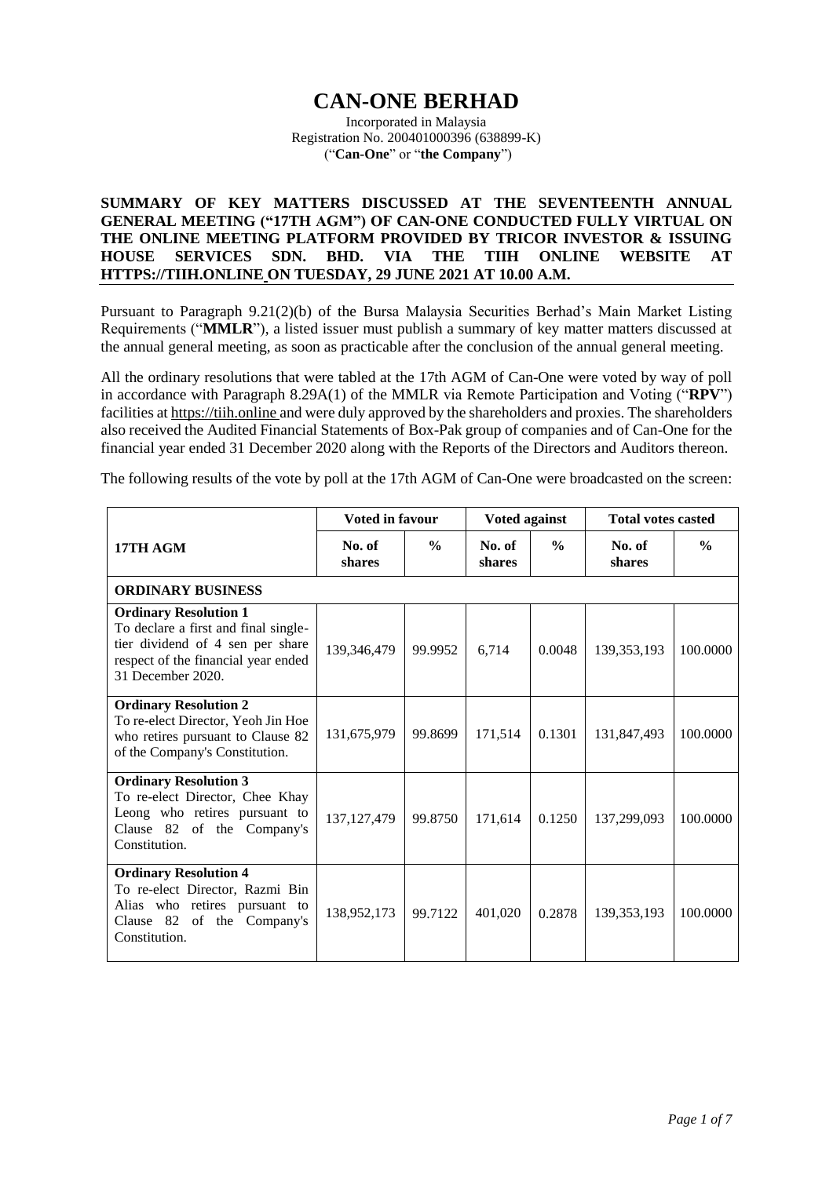## **CAN-ONE BERHAD**

Incorporated in Malaysia Registration No. 200401000396 (638899-K) ("**Can-One**" or "**the Company**")

## **SUMMARY OF KEY MATTERS DISCUSSED AT THE SEVENTEENTH ANNUAL GENERAL MEETING ("17TH AGM") OF CAN-ONE CONDUCTED FULLY VIRTUAL ON THE ONLINE MEETING PLATFORM PROVIDED BY TRICOR INVESTOR & ISSUING HOUSE SERVICES SDN. BHD. VIA THE TIIH ONLINE WEBSITE AT HTTPS://TIIH.ONLINE ON TUESDAY, 29 JUNE 2021 AT 10.00 A.M.**

Pursuant to Paragraph 9.21(2)(b) of the Bursa Malaysia Securities Berhad's Main Market Listing Requirements ("**MMLR**"), a listed issuer must publish a summary of key matter matters discussed at the annual general meeting, as soon as practicable after the conclusion of the annual general meeting.

All the ordinary resolutions that were tabled at the 17th AGM of Can-One were voted by way of poll in accordance with Paragraph 8.29A(1) of the MMLR via Remote Participation and Voting ("**RPV**") facilities a[t https://tiih.online](https://tiih.online/) and were duly approved by the shareholders and proxies. The shareholders also received the Audited Financial Statements of Box-Pak group of companies and of Can-One for the financial year ended 31 December 2020 along with the Reports of the Directors and Auditors thereon.

The following results of the vote by poll at the 17th AGM of Can-One were broadcasted on the screen:

|                                                                                                                                                                      | <b>Voted in favour</b> |               | Voted against    |               | <b>Total votes casted</b> |               |
|----------------------------------------------------------------------------------------------------------------------------------------------------------------------|------------------------|---------------|------------------|---------------|---------------------------|---------------|
| 17TH AGM                                                                                                                                                             | No. of<br>shares       | $\frac{0}{0}$ | No. of<br>shares | $\frac{0}{0}$ | No. of<br>shares          | $\frac{0}{0}$ |
| <b>ORDINARY BUSINESS</b>                                                                                                                                             |                        |               |                  |               |                           |               |
| <b>Ordinary Resolution 1</b><br>To declare a first and final single-<br>tier dividend of 4 sen per share<br>respect of the financial year ended<br>31 December 2020. | 139,346,479            | 99.9952       | 6,714            | 0.0048        | 139, 353, 193             | 100.0000      |
| <b>Ordinary Resolution 2</b><br>To re-elect Director, Yeoh Jin Hoe<br>who retires pursuant to Clause 82<br>of the Company's Constitution.                            | 131,675,979            | 99.8699       | 171,514          | 0.1301        | 131,847,493               | 100.0000      |
| <b>Ordinary Resolution 3</b><br>To re-elect Director, Chee Khay<br>Leong who retires pursuant to<br>Clause 82 of the Company's<br>Constitution.                      | 137, 127, 479          | 99.8750       | 171,614          | 0.1250        | 137,299,093               | 100.0000      |
| <b>Ordinary Resolution 4</b><br>To re-elect Director, Razmi Bin<br>Alias who retires pursuant to<br>Clause 82 of the Company's<br>Constitution.                      | 138,952,173            | 99.7122       | 401,020          | 0.2878        | 139, 353, 193             | 100.0000      |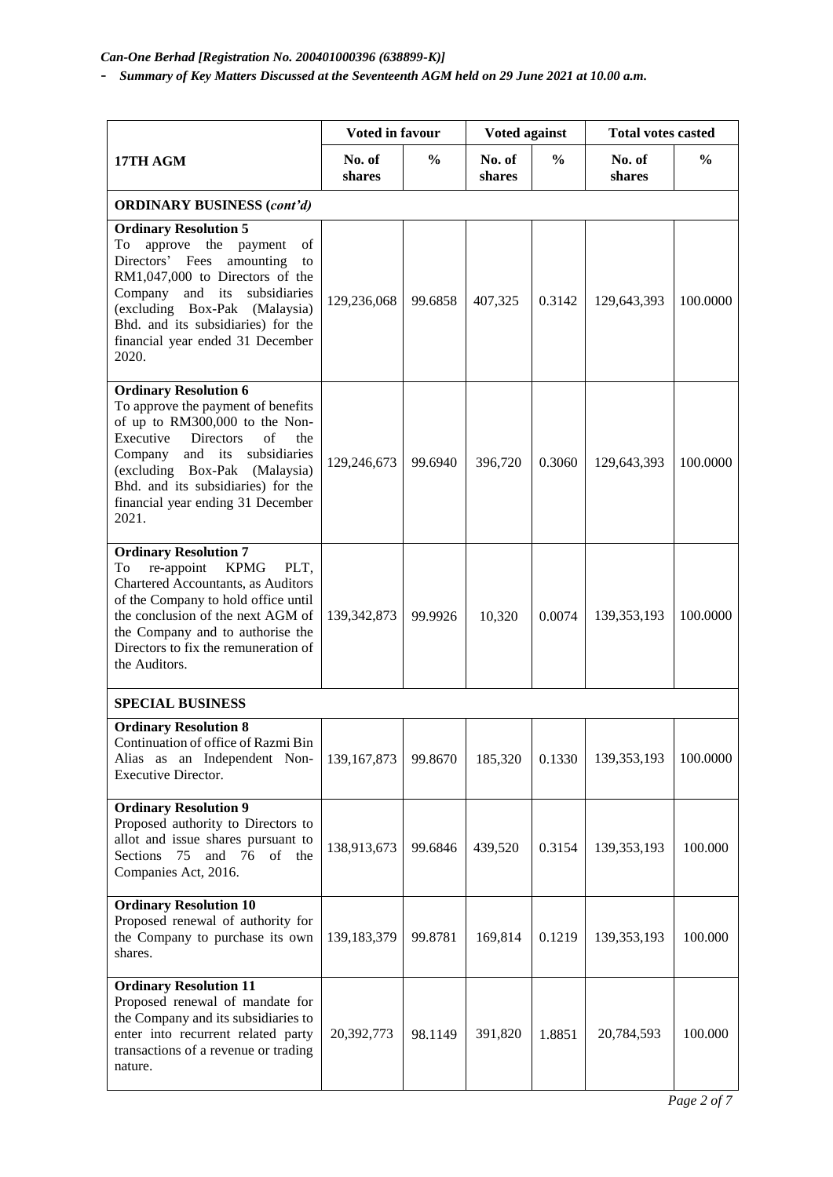## *Can-One Berhad [Registration No. 200401000396 (638899-K)]*

- *Summary of Key Matters Discussed at the Seventeenth AGM held on 29 June 2021 at 10.00 a.m.*

|                                                                                                                                                                                                                                                                                                         | <b>Voted in favour</b> |               | Voted against    |               | <b>Total votes casted</b> |               |
|---------------------------------------------------------------------------------------------------------------------------------------------------------------------------------------------------------------------------------------------------------------------------------------------------------|------------------------|---------------|------------------|---------------|---------------------------|---------------|
| 17TH AGM                                                                                                                                                                                                                                                                                                | No. of<br>shares       | $\frac{0}{0}$ | No. of<br>shares | $\frac{6}{6}$ | No. of<br>shares          | $\frac{0}{0}$ |
| <b>ORDINARY BUSINESS (cont'd)</b>                                                                                                                                                                                                                                                                       |                        |               |                  |               |                           |               |
| <b>Ordinary Resolution 5</b><br>To<br>approve the<br>of<br>payment<br>Directors' Fees<br>amounting<br>to<br>RM1,047,000 to Directors of the<br>Company and its<br>subsidiaries<br>(excluding Box-Pak (Malaysia)<br>Bhd. and its subsidiaries) for the<br>financial year ended 31 December<br>2020.      | 129,236,068            | 99.6858       | 407,325          | 0.3142        | 129,643,393               | 100.0000      |
| <b>Ordinary Resolution 6</b><br>To approve the payment of benefits<br>of up to RM300,000 to the Non-<br>of<br>Executive<br><b>Directors</b><br>the<br>Company and its subsidiaries<br>(excluding Box-Pak (Malaysia)<br>Bhd. and its subsidiaries) for the<br>financial year ending 31 December<br>2021. | 129,246,673            | 99.6940       | 396,720          | 0.3060        | 129,643,393               | 100.0000      |
| <b>Ordinary Resolution 7</b><br><b>KPMG</b><br>To<br>re-appoint<br>PLT,<br>Chartered Accountants, as Auditors<br>of the Company to hold office until<br>the conclusion of the next AGM of<br>the Company and to authorise the<br>Directors to fix the remuneration of<br>the Auditors.                  | 139, 342, 873          | 99.9926       | 10,320           | 0.0074        | 139, 353, 193             | 100.0000      |
| <b>SPECIAL BUSINESS</b>                                                                                                                                                                                                                                                                                 |                        |               |                  |               |                           |               |
| <b>Ordinary Resolution 8</b><br>Continuation of office of Razmi Bin<br>Alias as an Independent Non-<br>Executive Director.                                                                                                                                                                              | 139, 167, 873          | 99.8670       | 185,320          | 0.1330        | 139,353,193               | 100.0000      |
| <b>Ordinary Resolution 9</b><br>Proposed authority to Directors to<br>allot and issue shares pursuant to<br>and 76<br>of<br>Sections 75<br>the<br>Companies Act, 2016.                                                                                                                                  | 138,913,673            | 99.6846       | 439,520          | 0.3154        | 139,353,193               | 100.000       |
| <b>Ordinary Resolution 10</b><br>Proposed renewal of authority for<br>the Company to purchase its own<br>shares.                                                                                                                                                                                        | 139, 183, 379          | 99.8781       | 169,814          | 0.1219        | 139, 353, 193             | 100.000       |
| <b>Ordinary Resolution 11</b><br>Proposed renewal of mandate for<br>the Company and its subsidiaries to<br>enter into recurrent related party<br>transactions of a revenue or trading<br>nature.                                                                                                        | 20,392,773             | 98.1149       | 391,820          | 1.8851        | 20,784,593                | 100.000       |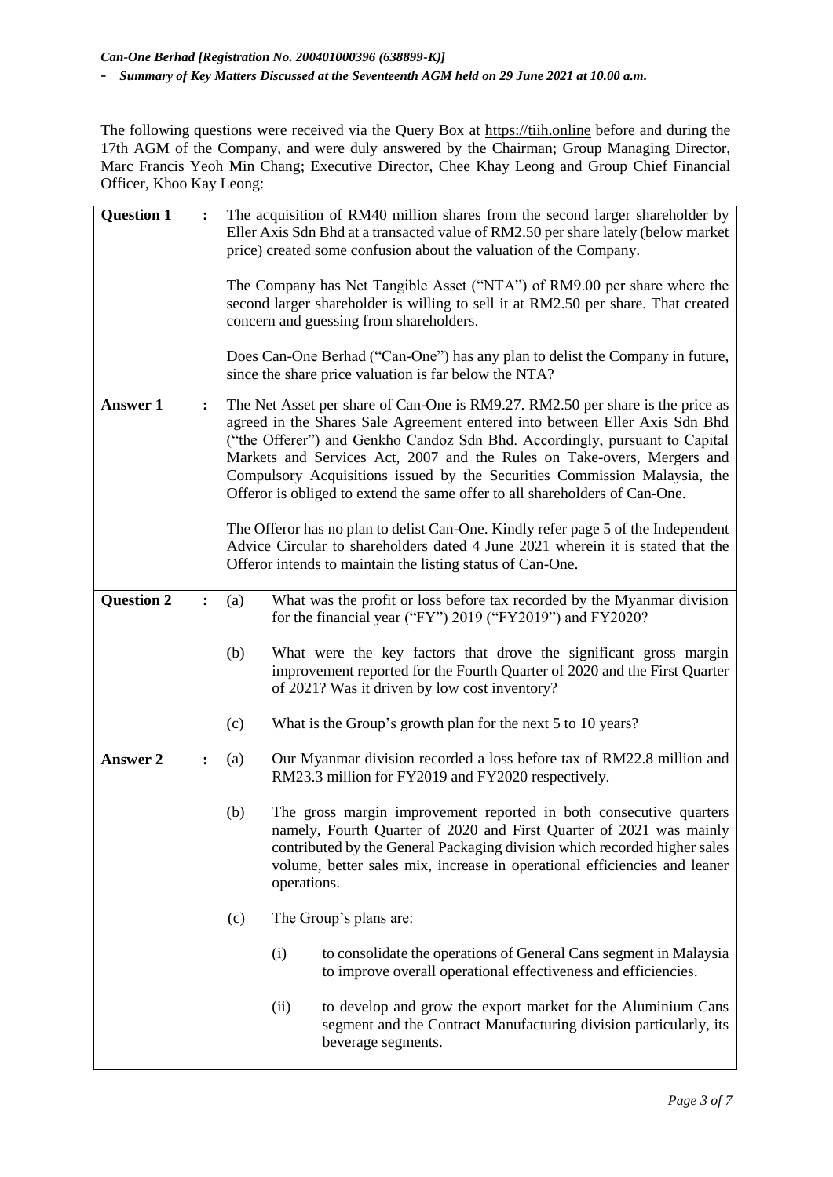The following questions were received via the Query Box at [https://tiih.online](https://tiih.online/) before and during the 17th AGM of the Company, and were duly answered by the Chairman; Group Managing Director, Marc Francis Yeoh Min Chang; Executive Director, Chee Khay Leong and Group Chief Financial Officer, Khoo Kay Leong:

| <b>Question 1</b> | $\ddot{\cdot}$ |      | The acquisition of RM40 million shares from the second larger shareholder by<br>Eller Axis Sdn Bhd at a transacted value of RM2.50 per share lately (below market<br>price) created some confusion about the valuation of the Company.<br>The Company has Net Tangible Asset ("NTA") of RM9.00 per share where the                                                                                                                                                                  |
|-------------------|----------------|------|-------------------------------------------------------------------------------------------------------------------------------------------------------------------------------------------------------------------------------------------------------------------------------------------------------------------------------------------------------------------------------------------------------------------------------------------------------------------------------------|
|                   |                |      | second larger shareholder is willing to sell it at RM2.50 per share. That created<br>concern and guessing from shareholders.                                                                                                                                                                                                                                                                                                                                                        |
|                   |                |      | Does Can-One Berhad ("Can-One") has any plan to delist the Company in future,<br>since the share price valuation is far below the NTA?                                                                                                                                                                                                                                                                                                                                              |
| <b>Answer 1</b>   | $\ddot{\cdot}$ |      | The Net Asset per share of Can-One is RM9.27. RM2.50 per share is the price as<br>agreed in the Shares Sale Agreement entered into between Eller Axis Sdn Bhd<br>("the Offerer") and Genkho Candoz Sdn Bhd. Accordingly, pursuant to Capital<br>Markets and Services Act, 2007 and the Rules on Take-overs, Mergers and<br>Compulsory Acquisitions issued by the Securities Commission Malaysia, the<br>Offeror is obliged to extend the same offer to all shareholders of Can-One. |
|                   |                |      | The Offeror has no plan to delist Can-One. Kindly refer page 5 of the Independent<br>Advice Circular to shareholders dated 4 June 2021 wherein it is stated that the<br>Offeror intends to maintain the listing status of Can-One.                                                                                                                                                                                                                                                  |
| <b>Question 2</b> | $\ddot{\cdot}$ | (a)  | What was the profit or loss before tax recorded by the Myanmar division<br>for the financial year ("FY") 2019 ("FY2019") and FY2020?                                                                                                                                                                                                                                                                                                                                                |
|                   |                | (b)  | What were the key factors that drove the significant gross margin<br>improvement reported for the Fourth Quarter of 2020 and the First Quarter<br>of 2021? Was it driven by low cost inventory?                                                                                                                                                                                                                                                                                     |
|                   |                | (c)  | What is the Group's growth plan for the next 5 to 10 years?                                                                                                                                                                                                                                                                                                                                                                                                                         |
| <b>Answer 2</b>   | $\ddot{\cdot}$ | (a)  | Our Myanmar division recorded a loss before tax of RM22.8 million and<br>RM23.3 million for FY2019 and FY2020 respectively.                                                                                                                                                                                                                                                                                                                                                         |
|                   |                | (b)  | The gross margin improvement reported in both consecutive quarters<br>namely, Fourth Quarter of 2020 and First Quarter of 2021 was mainly<br>contributed by the General Packaging division which recorded higher sales<br>volume, better sales mix, increase in operational efficiencies and leaner<br>operations.                                                                                                                                                                  |
|                   |                | (c)  | The Group's plans are:                                                                                                                                                                                                                                                                                                                                                                                                                                                              |
|                   |                | (i)  | to consolidate the operations of General Cans segment in Malaysia<br>to improve overall operational effectiveness and efficiencies.                                                                                                                                                                                                                                                                                                                                                 |
|                   |                | (ii) | to develop and grow the export market for the Aluminium Cans<br>segment and the Contract Manufacturing division particularly, its<br>beverage segments.                                                                                                                                                                                                                                                                                                                             |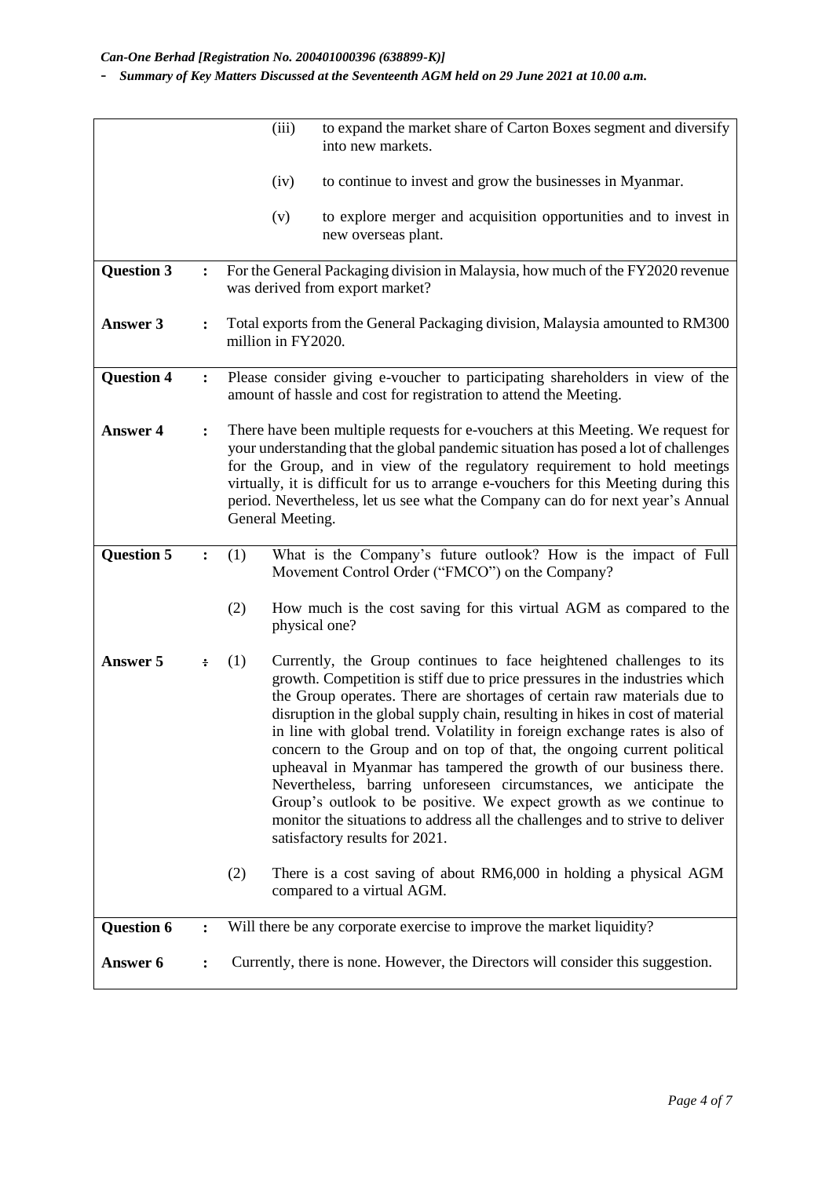- *Summary of Key Matters Discussed at the Seventeenth AGM held on 29 June 2021 at 10.00 a.m.*

|                   |                | (iii)                                 | to expand the market share of Carton Boxes segment and diversify<br>into new markets.                                                                                                                                                                                                                                                                                                                                                                                                                                                                                                                                                                                                                                                                                    |
|-------------------|----------------|---------------------------------------|--------------------------------------------------------------------------------------------------------------------------------------------------------------------------------------------------------------------------------------------------------------------------------------------------------------------------------------------------------------------------------------------------------------------------------------------------------------------------------------------------------------------------------------------------------------------------------------------------------------------------------------------------------------------------------------------------------------------------------------------------------------------------|
|                   |                | (iv)                                  | to continue to invest and grow the businesses in Myanmar.                                                                                                                                                                                                                                                                                                                                                                                                                                                                                                                                                                                                                                                                                                                |
|                   |                | (v)                                   | to explore merger and acquisition opportunities and to invest in<br>new overseas plant.                                                                                                                                                                                                                                                                                                                                                                                                                                                                                                                                                                                                                                                                                  |
| <b>Question 3</b> | $\ddot{\cdot}$ | was derived from export market?       | For the General Packaging division in Malaysia, how much of the FY2020 revenue                                                                                                                                                                                                                                                                                                                                                                                                                                                                                                                                                                                                                                                                                           |
| Answer 3          | $\ddot{\cdot}$ | million in FY2020.                    | Total exports from the General Packaging division, Malaysia amounted to RM300                                                                                                                                                                                                                                                                                                                                                                                                                                                                                                                                                                                                                                                                                            |
| <b>Question 4</b> | :              |                                       | Please consider giving e-voucher to participating shareholders in view of the<br>amount of hassle and cost for registration to attend the Meeting.                                                                                                                                                                                                                                                                                                                                                                                                                                                                                                                                                                                                                       |
| <b>Answer 4</b>   | $\ddot{\cdot}$ | General Meeting.                      | There have been multiple requests for e-vouchers at this Meeting. We request for<br>your understanding that the global pandemic situation has posed a lot of challenges<br>for the Group, and in view of the regulatory requirement to hold meetings<br>virtually, it is difficult for us to arrange e-vouchers for this Meeting during this<br>period. Nevertheless, let us see what the Company can do for next year's Annual                                                                                                                                                                                                                                                                                                                                          |
| <b>Question 5</b> | $\ddot{\cdot}$ | (1)                                   | What is the Company's future outlook? How is the impact of Full<br>Movement Control Order ("FMCO") on the Company?                                                                                                                                                                                                                                                                                                                                                                                                                                                                                                                                                                                                                                                       |
|                   |                | (2)<br>physical one?                  | How much is the cost saving for this virtual AGM as compared to the                                                                                                                                                                                                                                                                                                                                                                                                                                                                                                                                                                                                                                                                                                      |
| Answer 5          | ÷              | (1)<br>satisfactory results for 2021. | Currently, the Group continues to face heightened challenges to its<br>growth. Competition is stiff due to price pressures in the industries which<br>the Group operates. There are shortages of certain raw materials due to<br>disruption in the global supply chain, resulting in hikes in cost of material<br>in line with global trend. Volatility in foreign exchange rates is also of<br>concern to the Group and on top of that, the ongoing current political<br>upheaval in Myanmar has tampered the growth of our business there.<br>Nevertheless, barring unforeseen circumstances, we anticipate the<br>Group's outlook to be positive. We expect growth as we continue to<br>monitor the situations to address all the challenges and to strive to deliver |
|                   |                | (2)<br>compared to a virtual AGM.     | There is a cost saving of about RM6,000 in holding a physical AGM                                                                                                                                                                                                                                                                                                                                                                                                                                                                                                                                                                                                                                                                                                        |
| <b>Question 6</b> | :              |                                       | Will there be any corporate exercise to improve the market liquidity?                                                                                                                                                                                                                                                                                                                                                                                                                                                                                                                                                                                                                                                                                                    |
| Answer 6          |                |                                       | Currently, there is none. However, the Directors will consider this suggestion.                                                                                                                                                                                                                                                                                                                                                                                                                                                                                                                                                                                                                                                                                          |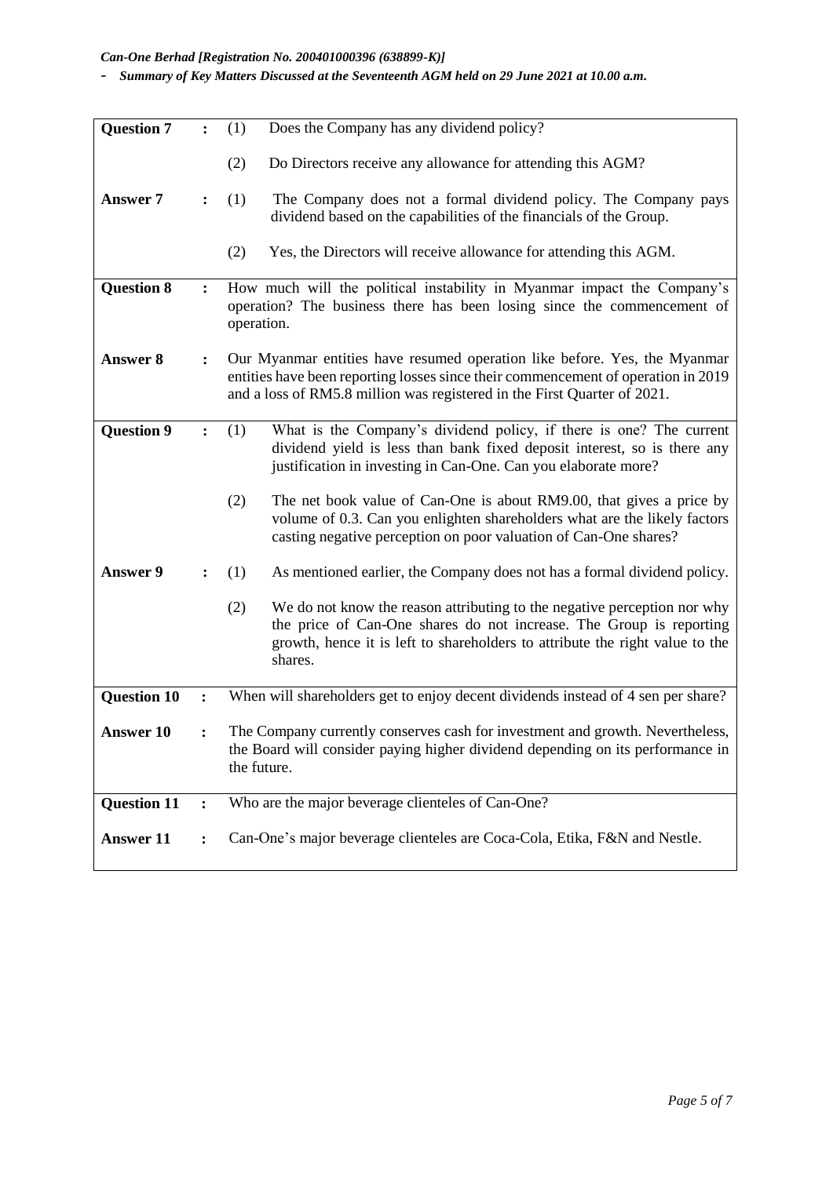## *Can-One Berhad [Registration No. 200401000396 (638899-K)]*

- *Summary of Key Matters Discussed at the Seventeenth AGM held on 29 June 2021 at 10.00 a.m.*

| <b>Question 7</b>  |                | Does the Company has any dividend policy?<br>(1)                                                                                                                                                                                                  |
|--------------------|----------------|---------------------------------------------------------------------------------------------------------------------------------------------------------------------------------------------------------------------------------------------------|
|                    |                | (2)<br>Do Directors receive any allowance for attending this AGM?                                                                                                                                                                                 |
| <b>Answer 7</b>    | $\ddot{\cdot}$ | The Company does not a formal dividend policy. The Company pays<br>(1)<br>dividend based on the capabilities of the financials of the Group.                                                                                                      |
|                    |                | Yes, the Directors will receive allowance for attending this AGM.<br>(2)                                                                                                                                                                          |
| <b>Question 8</b>  | $\ddot{\cdot}$ | How much will the political instability in Myanmar impact the Company's<br>operation? The business there has been losing since the commencement of<br>operation.                                                                                  |
| <b>Answer 8</b>    | $\ddot{\cdot}$ | Our Myanmar entities have resumed operation like before. Yes, the Myanmar<br>entities have been reporting losses since their commencement of operation in 2019<br>and a loss of RM5.8 million was registered in the First Quarter of 2021.        |
| <b>Question 9</b>  | $\ddot{\cdot}$ | What is the Company's dividend policy, if there is one? The current<br>(1)<br>dividend yield is less than bank fixed deposit interest, so is there any<br>justification in investing in Can-One. Can you elaborate more?                          |
|                    |                | (2)<br>The net book value of Can-One is about RM9.00, that gives a price by<br>volume of 0.3. Can you enlighten shareholders what are the likely factors<br>casting negative perception on poor valuation of Can-One shares?                      |
| <b>Answer 9</b>    |                | (1)<br>As mentioned earlier, the Company does not has a formal dividend policy.                                                                                                                                                                   |
|                    |                | (2)<br>We do not know the reason attributing to the negative perception nor why<br>the price of Can-One shares do not increase. The Group is reporting<br>growth, hence it is left to shareholders to attribute the right value to the<br>shares. |
| <b>Question 10</b> | :              | When will shareholders get to enjoy decent dividends instead of 4 sen per share?                                                                                                                                                                  |
| <b>Answer 10</b>   |                | The Company currently conserves cash for investment and growth. Nevertheless,<br>the Board will consider paying higher dividend depending on its performance in<br>the future.                                                                    |
| <b>Question 11</b> |                | Who are the major beverage clienteles of Can-One?                                                                                                                                                                                                 |
| <b>Answer 11</b>   | $\ddot{\cdot}$ | Can-One's major beverage clienteles are Coca-Cola, Etika, F&N and Nestle.                                                                                                                                                                         |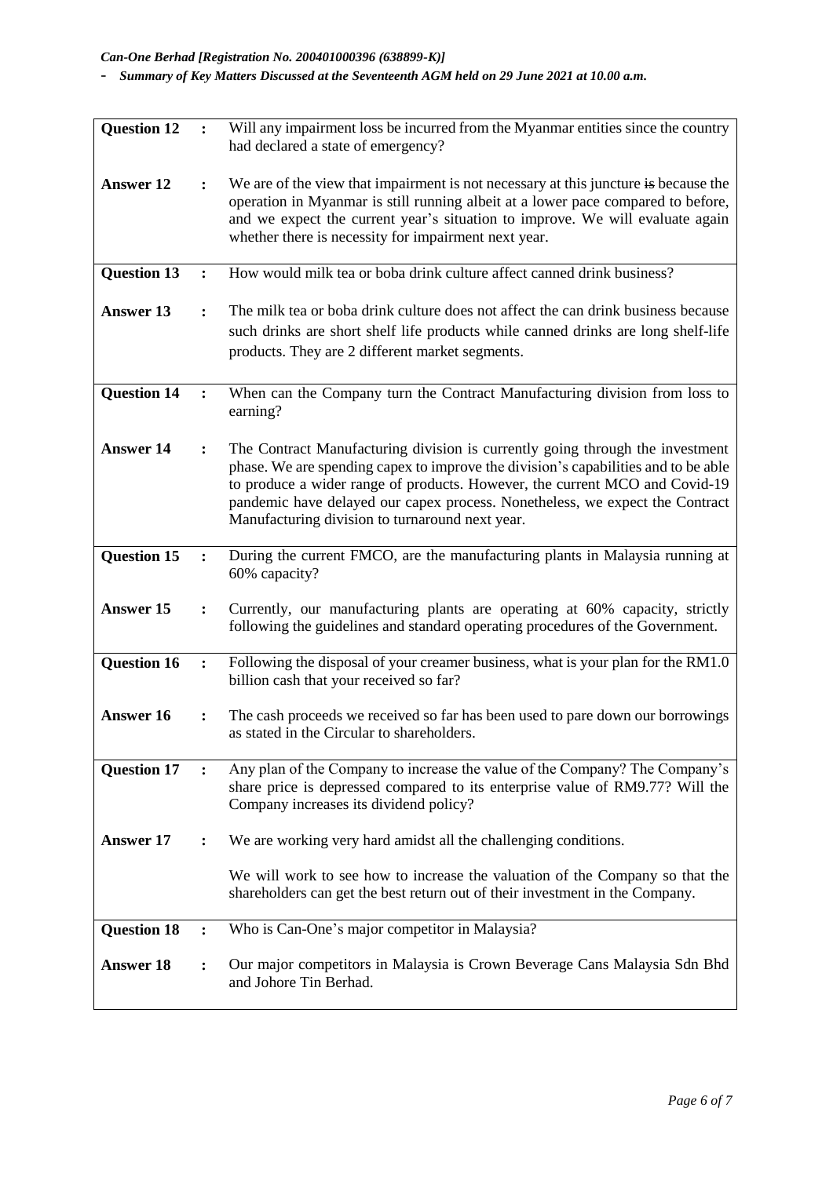| <b>Question 12</b> | $\ddot{\cdot}$ | Will any impairment loss be incurred from the Myanmar entities since the country<br>had declared a state of emergency?                                                                                                                                                                                                                                                                |
|--------------------|----------------|---------------------------------------------------------------------------------------------------------------------------------------------------------------------------------------------------------------------------------------------------------------------------------------------------------------------------------------------------------------------------------------|
| <b>Answer 12</b>   | $\ddot{\cdot}$ | We are of the view that impairment is not necessary at this juncture is because the<br>operation in Myanmar is still running albeit at a lower pace compared to before,<br>and we expect the current year's situation to improve. We will evaluate again<br>whether there is necessity for impairment next year.                                                                      |
| <b>Question 13</b> | $\ddot{\cdot}$ | How would milk tea or boba drink culture affect canned drink business?                                                                                                                                                                                                                                                                                                                |
| <b>Answer 13</b>   |                | The milk tea or boba drink culture does not affect the can drink business because<br>such drinks are short shelf life products while canned drinks are long shelf-life<br>products. They are 2 different market segments.                                                                                                                                                             |
| <b>Question 14</b> |                | When can the Company turn the Contract Manufacturing division from loss to<br>earning?                                                                                                                                                                                                                                                                                                |
| <b>Answer 14</b>   |                | The Contract Manufacturing division is currently going through the investment<br>phase. We are spending capex to improve the division's capabilities and to be able<br>to produce a wider range of products. However, the current MCO and Covid-19<br>pandemic have delayed our capex process. Nonetheless, we expect the Contract<br>Manufacturing division to turnaround next year. |
| <b>Question 15</b> | $\ddot{\cdot}$ | During the current FMCO, are the manufacturing plants in Malaysia running at<br>60% capacity?                                                                                                                                                                                                                                                                                         |
| <b>Answer 15</b>   | $\ddot{\cdot}$ | Currently, our manufacturing plants are operating at 60% capacity, strictly<br>following the guidelines and standard operating procedures of the Government.                                                                                                                                                                                                                          |
| <b>Question 16</b> | $\ddot{\cdot}$ | Following the disposal of your creamer business, what is your plan for the RM1.0<br>billion cash that your received so far?                                                                                                                                                                                                                                                           |
| <b>Answer 16</b>   | $\ddot{\cdot}$ | The cash proceeds we received so far has been used to pare down our borrowings<br>as stated in the Circular to shareholders.                                                                                                                                                                                                                                                          |
| <b>Question 17</b> |                | Any plan of the Company to increase the value of the Company? The Company's<br>share price is depressed compared to its enterprise value of RM9.77? Will the<br>Company increases its dividend policy?                                                                                                                                                                                |
| <b>Answer 17</b>   | ፡              | We are working very hard amidst all the challenging conditions.                                                                                                                                                                                                                                                                                                                       |
|                    |                | We will work to see how to increase the valuation of the Company so that the<br>shareholders can get the best return out of their investment in the Company.                                                                                                                                                                                                                          |
| <b>Question 18</b> | $\ddot{\cdot}$ | Who is Can-One's major competitor in Malaysia?                                                                                                                                                                                                                                                                                                                                        |
| <b>Answer 18</b>   |                | Our major competitors in Malaysia is Crown Beverage Cans Malaysia Sdn Bhd<br>and Johore Tin Berhad.                                                                                                                                                                                                                                                                                   |